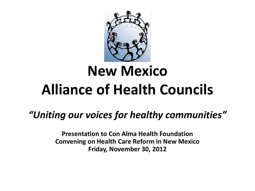

# **New Mexico Alliance of Health Councils**

#### *"Uniting our voices for healthy communities"*

**Presentation to Con Alma Health Foundation Convening on Health Care Reform in New Mexico Friday, November 30, 2012**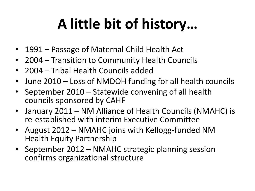# **A little bit of history…**

- 1991 Passage of Maternal Child Health Act
- 2004 Transition to Community Health Councils
- 2004 Tribal Health Councils added
- June 2010 Loss of NMDOH funding for all health councils
- September 2010 Statewide convening of all health councils sponsored by CAHF
- January 2011 NM Alliance of Health Councils (NMAHC) is re-established with interim Executive Committee
- August 2012 NMAHC joins with Kellogg-funded NM Health Equity Partnership
- September 2012 NMAHC strategic planning session confirms organizational structure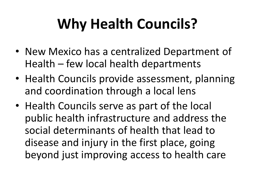# **Why Health Councils?**

- New Mexico has a centralized Department of Health – few local health departments
- Health Councils provide assessment, planning and coordination through a local lens
- Health Councils serve as part of the local public health infrastructure and address the social determinants of health that lead to disease and injury in the first place, going beyond just improving access to health care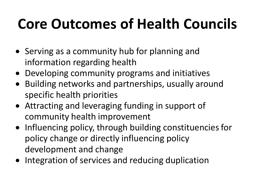# **Core Outcomes of Health Councils**

- Serving as a community hub for planning and information regarding health
- Developing community programs and initiatives
- Building networks and partnerships, usually around specific health priorities
- Attracting and leveraging funding in support of community health improvement
- Influencing policy, through building constituencies for policy change or directly influencing policy development and change
- Integration of services and reducing duplication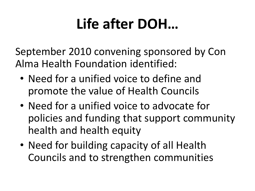## **Life after DOH…**

September 2010 convening sponsored by Con Alma Health Foundation identified:

- Need for a unified voice to define and promote the value of Health Councils
- Need for a unified voice to advocate for policies and funding that support community health and health equity
- Need for building capacity of all Health Councils and to strengthen communities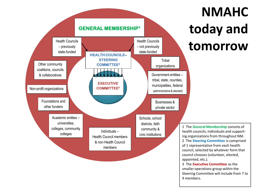

### **NMAHC today and tomorrow**

1 The **General Membership** consists of health councils, individuals and supporting organizations from throughout NM. 2 The **Steering Committee** is comprised of 1 representative from each health council, selected by whatever form that council chooses (volunteer, elected, 3 The **Executive Committee** as the

smaller operations group within the Steering Committee will include from 7 to 9 members.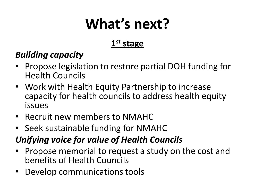## **What's next?**

#### **1 st stage**

#### *Building capacity*

- Propose legislation to restore partial DOH funding for Health Councils
- Work with Health Equity Partnership to increase capacity for health councils to address health equity issues
- Recruit new members to NMAHC
- Seek sustainable funding for NMAHC

#### *Unifying voice for value of Health Councils*

- Propose memorial to request a study on the cost and benefits of Health Councils
- Develop communications tools